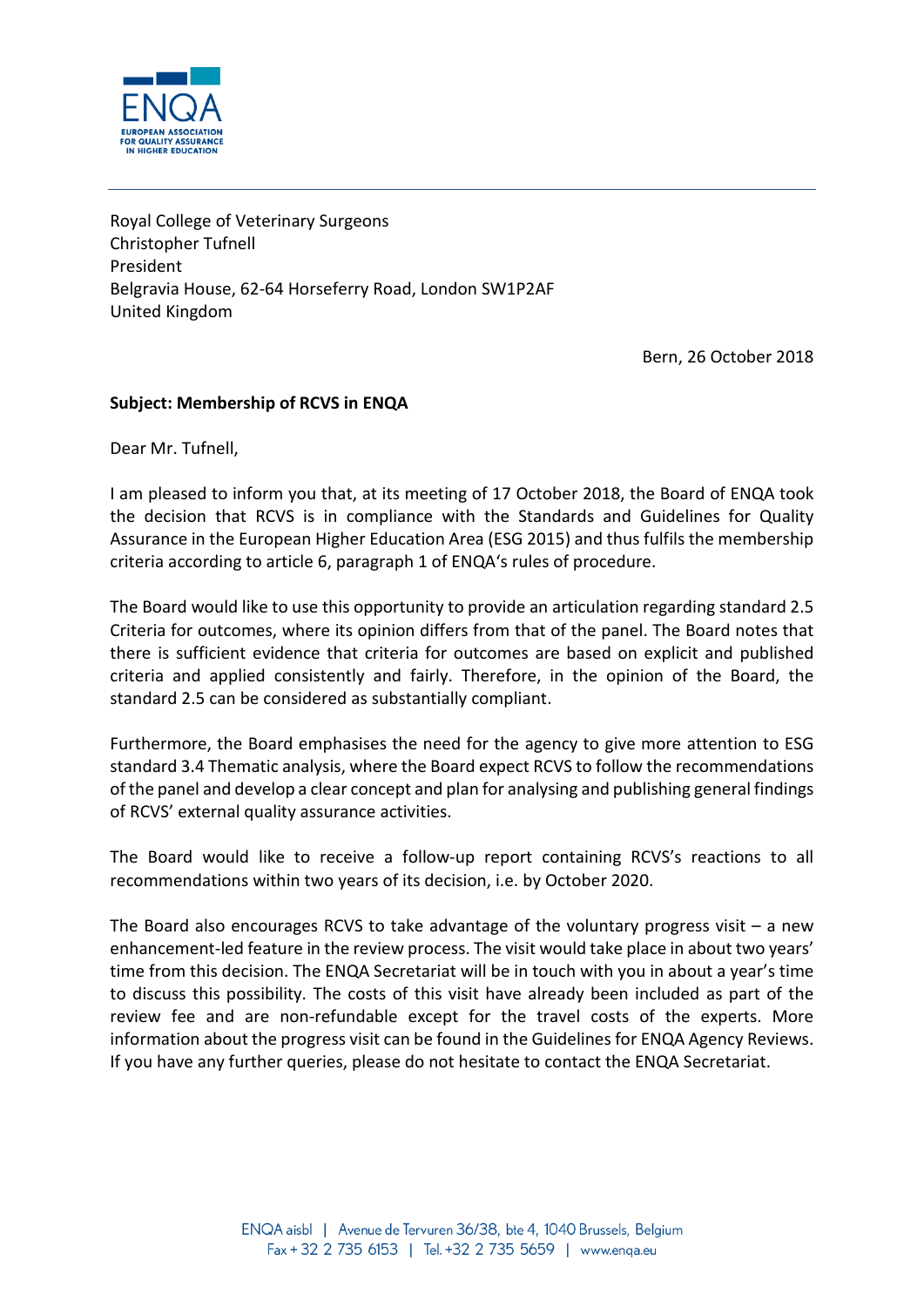

Royal College of Veterinary Surgeons Christopher Tufnell President Belgravia House, 62-64 Horseferry Road, London SW1P2AF United Kingdom

Bern, 26 October 2018

## **Subject: Membership of RCVS in ENQA**

Dear Mr. Tufnell,

I am pleased to inform you that, at its meeting of 17 October 2018, the Board of ENQA took the decision that RCVS is in compliance with the Standards and Guidelines for Quality Assurance in the European Higher Education Area (ESG 2015) and thus fulfils the membership criteria according to article 6, paragraph 1 of ENQA's rules of procedure.

The Board would like to use this opportunity to provide an articulation regarding standard 2.5 Criteria for outcomes, where its opinion differs from that of the panel. The Board notes that there is sufficient evidence that criteria for outcomes are based on explicit and published criteria and applied consistently and fairly. Therefore, in the opinion of the Board, the standard 2.5 can be considered as substantially compliant.

Furthermore, the Board emphasises the need for the agency to give more attention to ESG standard 3.4 Thematic analysis, where the Board expect RCVS to follow the recommendations of the panel and develop a clear concept and plan for analysing and publishing general findings of RCVS' external quality assurance activities.

The Board would like to receive a follow-up report containing RCVS's reactions to all recommendations within two years of its decision, i.e. by October 2020.

The Board also encourages RCVS to take advantage of the voluntary progress visit  $-$  a new enhancement-led feature in the review process. The visit would take place in about two years' time from this decision. The ENQA Secretariat will be in touch with you in about a year's time to discuss this possibility. The costs of this visit have already been included as part of the review fee and are non-refundable except for the travel costs of the experts. More information about the progress visit can be found in th[e Guidelines for ENQA Agency Reviews.](http://www.enqa.eu/indirme/papers-and-reports/occasional-papers/Guidelines%20for%20ENQA%20Agency%20Reviews.pdf) If you have any further queries, please do not hesitate to contact the ENQA Secretariat.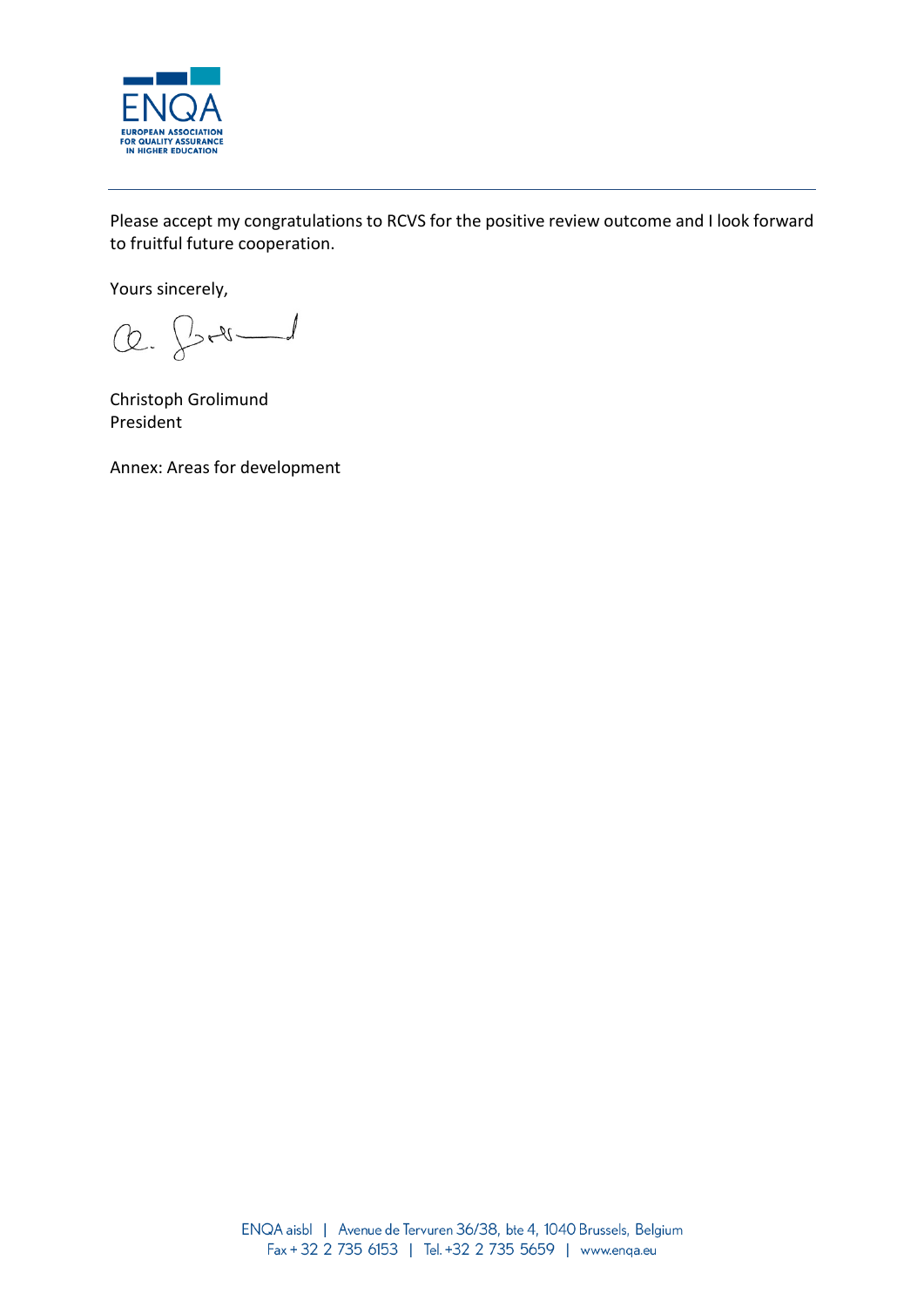

Please accept my congratulations to RCVS for the positive review outcome and I look forward to fruitful future cooperation.

Yours sincerely,

Q. J. 2

Christoph Grolimund President

Annex: Areas for development